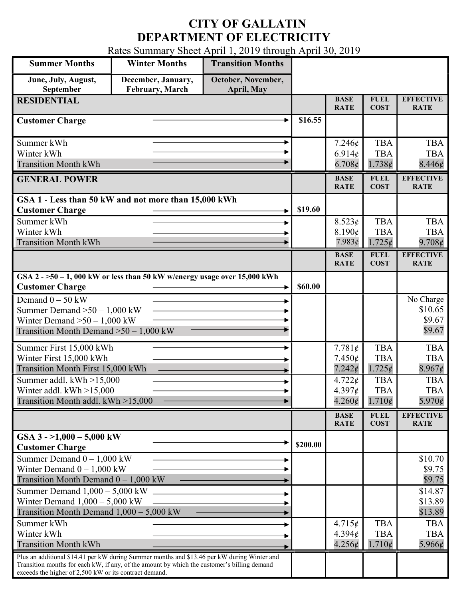## CITY OF GALLATIN DEPARTMENT OF ELECTRICITY

Rates Summary Sheet April 1, 2019 through April 30, 2019

| <b>Summer Months</b>                                                                                                                                                                                                                                 | <b>Winter Months</b>                         | <b>Transition Months</b>         |          |                                                      |                                             |                                             |
|------------------------------------------------------------------------------------------------------------------------------------------------------------------------------------------------------------------------------------------------------|----------------------------------------------|----------------------------------|----------|------------------------------------------------------|---------------------------------------------|---------------------------------------------|
| June, July, August,<br>September                                                                                                                                                                                                                     | December, January,<br><b>February, March</b> | October, November,<br>April, May |          |                                                      |                                             |                                             |
| <b>RESIDENTIAL</b>                                                                                                                                                                                                                                   |                                              |                                  |          | <b>BASE</b><br><b>RATE</b>                           | <b>FUEL</b><br><b>COST</b>                  | <b>EFFECTIVE</b><br><b>RATE</b>             |
| <b>Customer Charge</b>                                                                                                                                                                                                                               |                                              |                                  | \$16.55  |                                                      |                                             |                                             |
| Summer kWh<br>Winter kWh<br><b>Transition Month kWh</b>                                                                                                                                                                                              |                                              |                                  |          | $7.246\epsilon$<br>6.914¢<br>6.708¢                  | <b>TBA</b><br><b>TBA</b><br>1.738¢          | <b>TBA</b><br><b>TBA</b><br>8.446¢          |
| <b>GENERAL POWER</b>                                                                                                                                                                                                                                 |                                              |                                  |          | <b>BASE</b><br><b>RATE</b>                           | <b>FUEL</b><br><b>COST</b>                  | <b>EFFECTIVE</b><br><b>RATE</b>             |
| GSA 1 - Less than 50 kW and not more than 15,000 kWh<br><b>Customer Charge</b>                                                                                                                                                                       |                                              |                                  | \$19.60  |                                                      |                                             |                                             |
| Summer kWh<br>Winter kWh<br><b>Transition Month kWh</b>                                                                                                                                                                                              |                                              |                                  |          | 8.523¢<br>8.190¢<br>7.983¢                           | <b>TBA</b><br><b>TBA</b><br>$1.725\phi$     | <b>TBA</b><br><b>TBA</b><br>$9.708\phi$     |
|                                                                                                                                                                                                                                                      |                                              |                                  |          | <b>BASE</b><br><b>RATE</b>                           | <b>FUEL</b><br><b>COST</b>                  | <b>EFFECTIVE</b><br><b>RATE</b>             |
| $GSA$ 2 - >50 - 1, 000 kW or less than 50 kW w/energy usage over 15,000 kWh<br><b>Customer Charge</b>                                                                                                                                                |                                              |                                  | \$60.00  |                                                      |                                             |                                             |
| Demand $0 - 50$ kW<br>Summer Demand $>50 - 1,000$ kW<br>Winter Demand $>50 - 1,000$ kW<br>Transition Month Demand $>50-1,000$ kW                                                                                                                     |                                              |                                  |          |                                                      |                                             | No Charge<br>\$10.65<br>\$9.67<br>\$9.67    |
| Summer First 15,000 kWh<br>Winter First 15,000 kWh<br>Transition Month First 15,000 kWh                                                                                                                                                              |                                              |                                  |          | 7.781¢<br>$7.450\epsilon$<br>$7.242$ ¢               | <b>TBA</b><br><b>TBA</b><br>$1.725\phi$     | <b>TBA</b><br><b>TBA</b><br>8.967c          |
| Summer addl. $kWh > 15,000$<br>Winter addl. $kWh > 15,000$<br>Transition Month addl. kWh >15,000                                                                                                                                                     |                                              |                                  |          | $4.722 \times$<br>$4.397\epsilon$<br>$4.260\epsilon$ | <b>TBA</b><br><b>TBA</b><br>$1.710\phi$     | <b>TBA</b><br><b>TBA</b><br>$5.970\epsilon$ |
|                                                                                                                                                                                                                                                      |                                              |                                  |          | <b>BASE</b><br><b>RATE</b>                           | <b>FUEL</b><br><b>COST</b>                  | <b>EFFECTIVE</b><br><b>RATE</b>             |
| GSA $3 - 1,000 - 5,000$ kW<br><b>Customer Charge</b>                                                                                                                                                                                                 |                                              |                                  | \$200.00 |                                                      |                                             |                                             |
| Summer Demand $0 - 1,000$ kW<br>Winter Demand $0 - 1,000$ kW<br>Transition Month Demand $0 - 1,000$ kW                                                                                                                                               |                                              |                                  |          |                                                      |                                             | \$10.70<br>\$9.75<br>\$9.75                 |
| Summer Demand $1,000 - 5,000$ kW<br>Winter Demand $1,000 - 5,000$ kW<br>Transition Month Demand 1,000 - 5,000 kW                                                                                                                                     |                                              |                                  |          |                                                      |                                             | \$14.87<br>\$13.89<br>\$13.89               |
| Summer kWh<br>Winter kWh<br><b>Transition Month kWh</b>                                                                                                                                                                                              |                                              |                                  |          | 4.715¢<br>$4.394\mathrm{\ell}$<br>4.256¢             | <b>TBA</b><br><b>TBA</b><br>$1.710\epsilon$ | <b>TBA</b><br><b>TBA</b><br>5.966¢          |
| Plus an additional \$14.41 per kW during Summer months and \$13.46 per kW during Winter and<br>Transition months for each kW, if any, of the amount by which the customer's billing demand<br>exceeds the higher of 2,500 kW or its contract demand. |                                              |                                  |          |                                                      |                                             |                                             |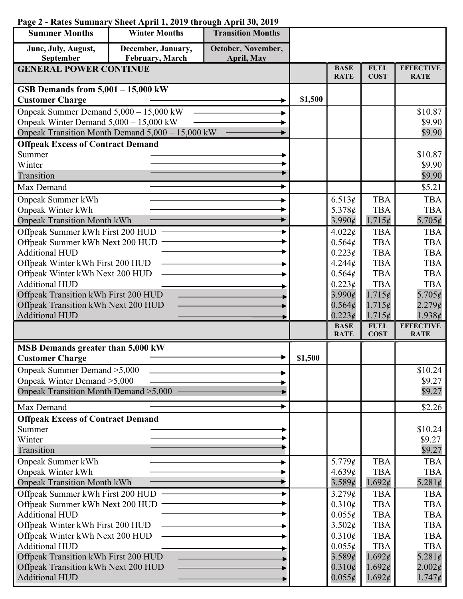## Page 2 - Rates Summary Sheet April 1, 2019 through April 30, 2019

| <b>Summer Months</b>                                                | <b>Winter Months</b>                             | <b>Transition Months</b> |         |                            |                            |                                 |
|---------------------------------------------------------------------|--------------------------------------------------|--------------------------|---------|----------------------------|----------------------------|---------------------------------|
| June, July, August,                                                 | December, January,                               | October, November,       |         |                            |                            |                                 |
| September                                                           | February, March                                  | <b>April, May</b>        |         |                            |                            |                                 |
| <b>GENERAL POWER CONTINUE</b>                                       |                                                  |                          |         | <b>BASE</b><br><b>RATE</b> | <b>FUEL</b><br><b>COST</b> | <b>EFFECTIVE</b><br><b>RATE</b> |
| GSB Demands from $5,001 - 15,000$ kW                                |                                                  |                          |         |                            |                            |                                 |
| <b>Customer Charge</b>                                              |                                                  |                          | \$1,500 |                            |                            |                                 |
| Onpeak Summer Demand 5,000 - 15,000 kW                              |                                                  |                          |         |                            |                            | \$10.87                         |
| Onpeak Winter Demand 5,000 - 15,000 kW                              |                                                  |                          |         |                            |                            | \$9.90                          |
|                                                                     | Onpeak Transition Month Demand 5,000 - 15,000 kW |                          |         |                            |                            | \$9.90                          |
| <b>Offpeak Excess of Contract Demand</b>                            |                                                  |                          |         |                            |                            |                                 |
| Summer                                                              |                                                  |                          |         |                            |                            | \$10.87                         |
| Winter                                                              |                                                  |                          |         |                            |                            | \$9.90                          |
| Transition                                                          |                                                  |                          |         |                            |                            | \$9.90                          |
| Max Demand                                                          |                                                  |                          |         |                            |                            | \$5.21                          |
| Onpeak Summer kWh                                                   |                                                  |                          |         | 6.513¢                     | <b>TBA</b>                 | <b>TBA</b>                      |
| Onpeak Winter kWh                                                   |                                                  |                          |         | 5.378¢                     | <b>TBA</b>                 | <b>TBA</b>                      |
| <b>Onpeak Transition Month kWh</b>                                  |                                                  |                          |         | $3.990\phi$                | $1.715\phi$                | 5.705 $\phi$                    |
| Offpeak Summer kWh First 200 HUD                                    |                                                  |                          |         | $4.022\epsilon$            | <b>TBA</b>                 | <b>TBA</b>                      |
| Offpeak Summer kWh Next 200 HUD                                     |                                                  |                          |         | 0.564¢                     | <b>TBA</b>                 | <b>TBA</b>                      |
| <b>Additional HUD</b>                                               |                                                  |                          |         | 0.223¢<br>4.244¢           | <b>TBA</b><br><b>TBA</b>   | <b>TBA</b><br><b>TBA</b>        |
| Offpeak Winter kWh First 200 HUD<br>Offpeak Winter kWh Next 200 HUD |                                                  |                          |         | 0.564¢                     | <b>TBA</b>                 | <b>TBA</b>                      |
| <b>Additional HUD</b>                                               |                                                  |                          |         | $0.223\phi$                | <b>TBA</b>                 | <b>TBA</b>                      |
| Offpeak Transition kWh First 200 HUD                                |                                                  |                          |         | $3.990\epsilon$            | 1.715¢                     | 5.705 $\phi$                    |
| Offpeak Transition kWh Next 200 HUD                                 |                                                  |                          |         | 0.564¢                     | 1.715¢                     | $2.279\mathcal{C}$              |
| <b>Additional HUD</b>                                               |                                                  |                          |         | 0.223c                     | 1.715¢                     | 1.938c                          |
|                                                                     |                                                  |                          |         | <b>BASE</b><br><b>RATE</b> | <b>FUEL</b>                | <b>EFFECTIVE</b>                |
|                                                                     |                                                  |                          |         |                            | <b>COST</b>                | <b>RATE</b>                     |
| MSB Demands greater than 5,000 kW<br><b>Customer Charge</b>         |                                                  |                          | \$1,500 |                            |                            |                                 |
| Onpeak Summer Demand > 5,000                                        |                                                  |                          |         |                            |                            | \$10.24                         |
| Onpeak Winter Demand > 5,000                                        |                                                  |                          |         |                            |                            | \$9.27                          |
| Onpeak Transition Month Demand > 5,000                              |                                                  |                          |         |                            |                            | \$9.27                          |
|                                                                     |                                                  |                          |         |                            |                            |                                 |
| Max Demand                                                          |                                                  |                          |         |                            |                            | \$2.26                          |
| <b>Offpeak Excess of Contract Demand</b>                            |                                                  |                          |         |                            |                            |                                 |
| Summer<br>Winter                                                    |                                                  |                          |         |                            |                            | \$10.24<br>\$9.27               |
| Transition                                                          |                                                  |                          |         |                            |                            | \$9.27                          |
| Onpeak Summer kWh                                                   |                                                  |                          |         | 5.779 $\phi$               | <b>TBA</b>                 | <b>TBA</b>                      |
| Onpeak Winter kWh                                                   |                                                  |                          |         | 4.639¢                     | <b>TBA</b>                 | <b>TBA</b>                      |
| <b>Onpeak Transition Month kWh</b>                                  |                                                  |                          |         | 3.589¢                     | 1.692¢                     | 5.281 $\phi$                    |
| Offpeak Summer kWh First 200 HUD                                    |                                                  |                          |         | 3.279¢                     | <b>TBA</b>                 | <b>TBA</b>                      |
| Offpeak Summer kWh Next 200 HUD                                     |                                                  |                          |         | $0.310\phi$                | <b>TBA</b>                 | <b>TBA</b>                      |
| <b>Additional HUD</b>                                               |                                                  |                          |         | $0.055\epsilon$            | <b>TBA</b>                 | <b>TBA</b>                      |
| Offpeak Winter kWh First 200 HUD                                    |                                                  |                          |         | 3.502¢                     | <b>TBA</b>                 | <b>TBA</b>                      |
| Offpeak Winter kWh Next 200 HUD                                     |                                                  |                          |         | $0.310\phi$                | <b>TBA</b>                 | <b>TBA</b>                      |
| <b>Additional HUD</b>                                               |                                                  |                          |         | $0.055\phi$                | <b>TBA</b>                 | <b>TBA</b>                      |
| Offpeak Transition kWh First 200 HUD                                |                                                  |                          |         | 3.589¢                     | 1.692¢                     | 5.281 $\phi$                    |
| Offpeak Transition kWh Next 200 HUD                                 |                                                  |                          |         | $0.310\epsilon$            | 1.692¢                     | $2.002\epsilon$                 |
| <b>Additional HUD</b>                                               |                                                  |                          |         | $0.055\epsilon$            | 1.692¢                     | $1.747\phi$                     |